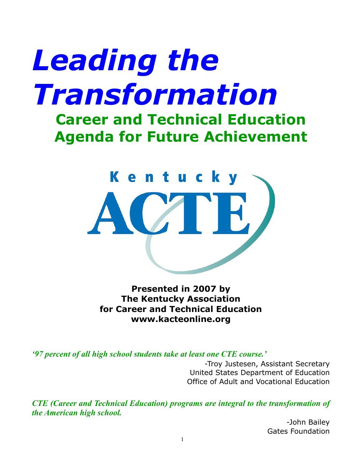# *Leading the Transformation*

## **Career and Technical Education Agenda for Future Achievement**



**Presented in 2007 by The Kentucky Association for Career and Technical Education www.kacteonline.org**

*'97 percent of all high school students take at least one CTE course.'*

-Troy Justesen, Assistant Secretary United States Department of Education Office of Adult and Vocational Education

*CTE (Career and Technical Education) programs are integral to the transformation of the American high school.*

> -John Bailey Gates Foundation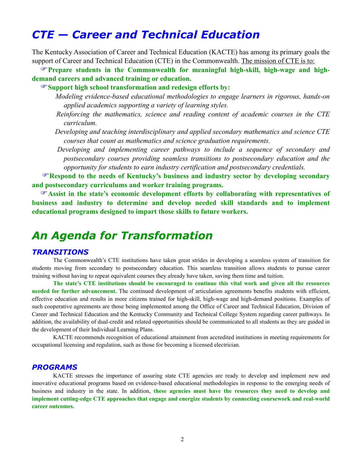### *CTE — Career and Technical Education*

The Kentucky Association of Career and Technical Education (KACTE) has among its primary goals the support of Career and Technical Education (CTE) in the Commonwealth. The mission of CTE is to:

**Prepare students in the Commonwealth for meaningful high-skill, high-wage and highdemand careers and advanced training or education.**

**Support high school transformation and redesign efforts by:**

 *Modeling evidence-based educational methodologies to engage learners in rigorous, hands-on applied academics supporting a variety of learning styles.*

 *Reinforcing the mathematics, science and reading content of academic courses in the CTE curriculum.*

 *Developing and teaching interdisciplinary and applied secondary mathematics and science CTE courses that count as mathematics and science graduation requirements.* 

 *Developing and implementing career pathways to include a sequence of secondary and postsecondary courses providing seamless transitions to postsecondary education and the opportunity for students to earn industry certification and postsecondary credentials.*

**Respond to the needs of Kentucky's business and industry sector by developing secondary and postsecondary curriculums and worker training programs.**

**Assist in the state's economic development efforts by collaborating with representatives of business and industry to determine and develop needed skill standards and to implement educational programs designed to impart those skills to future workers.**

## *An Agenda for Transformation*

#### *TRANSITIONS*

The Commonwealth's CTE institutions have taken great strides in developing a seamless system of transition for students moving from secondary to postsecondary education. This seamless transition allows students to pursue career training without having to repeat equivalent courses they already have taken, saving them time and tuition.

**The state's CTE institutions should be encouraged to continue this vital work and given all the resources needed for further advancement.** The continued development of articulation agreements benefits students with efficient, effective education and results in more citizens trained for high-skill, high-wage and high-demand positions. Examples of such cooperative agreements are those being implemented among the Office of Career and Technical Education, Division of Career and Technical Education and the Kentucky Community and Technical College System regarding career pathways. In addition, the availability of dual-credit and related opportunities should be communicated to all students as they are guided in the development of their Individual Learning Plans.

 KACTE recommends recognition of educational attainment from accredited institutions in meeting requirements for occupational licensing and regulation, such as those for becoming a licensed electrician.

#### *PROGRAMS*

KACTE stresses the importance of assuring state CTE agencies are ready to develop and implement new and innovative educational programs based on evidence-based educational methodologies in response to the emerging needs of business and industry in the state. In addition, **these agencies must have the resources they need to develop and implement cutting-edge CTE approaches that engage and energize students by connecting coursework and real-world career outcomes.**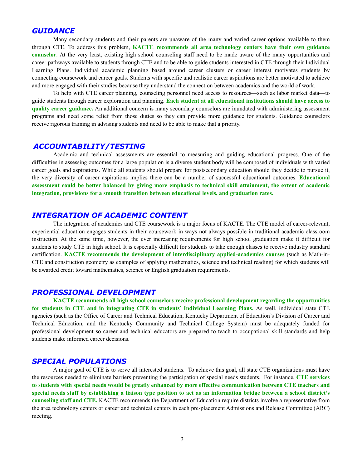#### *GUIDANCE*

Many secondary students and their parents are unaware of the many and varied career options available to them through CTE. To address this problem, **KACTE recommends all area technology centers have their own guidance counselor**. At the very least, existing high school counseling staff need to be made aware of the many opportunities and career pathways available to students through CTE and to be able to guide students interested in CTE through their Individual Learning Plans. Individual academic planning based around career clusters or career interest motivates students by connecting coursework and career goals. Students with specific and realistic career aspirations are better motivated to achieve and more engaged with their studies because they understand the connection between academics and the world of work.

 To help with CTE career planning, counseling personnel need access to resources—such as labor market data—to guide students through career exploration and planning. **Each student at all educational institutions should have access to quality career guidance.** An additional concern is many secondary counselors are inundated with administering assessment programs and need some relief from those duties so they can provide more guidance for students. Guidance counselors receive rigorous training in advising students and need to be able to make that a priority.

#### *ACCOUNTABILITY/TESTING*

Academic and technical assessments are essential to measuring and guiding educational progress. One of the difficulties in assessing outcomes for a large population is a diverse student body will be composed of individuals with varied career goals and aspirations. While all students should prepare for postsecondary education should they decide to pursue it, the very diversity of career aspirations implies there can be a number of successful educational outcomes. **Educational assessment could be better balanced by giving more emphasis to technical skill attainment, the extent of academic integration, provisions for a smooth transition between educational levels, and graduation rates.** 

#### *INTEGRATION OF ACADEMIC CONTENT*

The integration of academics and CTE coursework is a major focus of KACTE. The CTE model of career-relevant, experiential education engages students in their coursework in ways not always possible in traditional academic classroom instruction. At the same time, however, the ever increasing requirements for high school graduation make it difficult for students to study CTE in high school. It is especially difficult for students to take enough classes to receive industry standard certification. **KACTE recommends the development of interdisciplinary applied-academics courses** (such as Math-in-CTE and construction geometry as examples of applying mathematics, science and technical reading) for which students will be awarded credit toward mathematics, science or English graduation requirements.

#### *PROFESSIONAL DEVELOPMENT*

**KACTE recommends all high school counselors receive professional development regarding the opportunities for students in CTE and in integrating CTE in students' Individual Learning Plans.** As well, individual state CTE agencies (such as the Office of Career and Technical Education, Kentucky Department of Education's Division of Career and Technical Education, and the Kentucky Community and Technical College System) must be adequately funded for professional development so career and technical educators are prepared to teach to occupational skill standards and help students make informed career decisions.

#### *SPECIAL POPULATIONS*

A major goal of CTE is to serve all interested students. To achieve this goal, all state CTE organizations must have the resources needed to eliminate barriers preventing the participation of special needs students. For instance, **CTE services to students with special needs would be greatly enhanced by more effective communication between CTE teachers and special needs staff by establishing a liaison type position to act as an information bridge between a school district's counseling staff and CTE.** KACTE recommends the Department of Education require districts involve a representative from the area technology centers or career and technical centers in each pre-placement Admissions and Release Committee (ARC) meeting.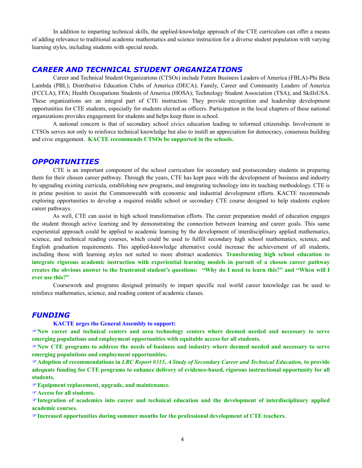In addition to imparting technical skills, the applied-knowledge approach of the CTE curriculum can offer a means of adding relevance to traditional academic mathematics and science instruction for a diverse student population with varying learning styles, including students with special needs.

#### *CAREER AND TECHNICAL STUDENT ORGANIZATIONS*

Career and Technical Student Organizations (CTSOs) include Future Business Leaders of America (FBLA)-Phi Beta Lambda (PBL); Distributive Education Clubs of America (DECA); Family, Career and Community Leaders of America (FCCLA); FFA; Health Occupations Students of America (HOSA); Technology Student Association (TSA); and SkillsUSA. These organizations are an integral part of CTE instruction. They provide recognition and leadership development opportunities for CTE students, especially for students elected as officers. Participation in the local chapters of these national organizations provides engagement for students and helps keep them in school.

 A national concern is that of secondary school civics education leading to informed citizenship. Involvement in CTSOs serves not only to reinforce technical knowledge but also to instill an appreciation for democracy, consensus building and civic engagement. **KACTE recommends CTSOs be supported in the schools.**

#### *OPPORTUNITIES*

CTE is an important component of the school curriculum for secondary and postsecondary students in preparing them for their chosen career pathway. Through the years, CTE has kept pace with the development of business and industry by upgrading existing curricula, establishing new programs, and integrating technology into its teaching methodology. CTE is in prime position to assist the Commonwealth with economic and industrial development efforts. KACTE recommends exploring opportunities to develop a required middle school or secondary CTE course designed to help students explore career pathways.

 As well, CTE can assist in high school transformation efforts. The career preparation model of education engages the student through active learning and by demonstrating the connection between learning and career goals. This same experiential approach could be applied to academic learning by the development of interdisciplinary applied mathematics, science, and technical reading courses, which could be used to fulfill secondary high school mathematics, science, and English graduation requirements. This applied-knowledge alternative could increase the achievement of all students, including those with learning styles not suited to more abstract academics. **Transforming high school education to integrate rigorous academic instruction with experiential learning models in pursuit of a chosen career pathway creates the obvious answer to the frustrated student's questions: "Why do I need to learn this?" and "When will I ever use this?"**

 Coursework and programs designed primarily to impart specific real world career knowledge can be used to reinforce mathematics, science, and reading content of academic classes.

#### *FUNDING*

#### **KACTE urges the General Assembly to support:**

**New career and technical centers and area technology centers where deemed needed and necessary to serve emerging populations and employment opportunities with equitable access for all students.**

**New CTE programs to address the needs of business and industry where deemed needed and necessary to serve emerging populations and employment opportunities.** 

**Adoption of recommendations in** *LRC Report #315, A Study of Secondary Career and Technical Education,* **to provide adequate funding for CTE programs to enhance delivery of evidence-based, rigorous instructional opportunity for all students.**

**Equipment replacement, upgrade, and maintenance.** 

**Access for all students.** 

**Integration of academics into career and technical education and the development of interdisciplinary applied academic courses.**

**Increased opportunities during summer months for the professional development of CTE teachers.**